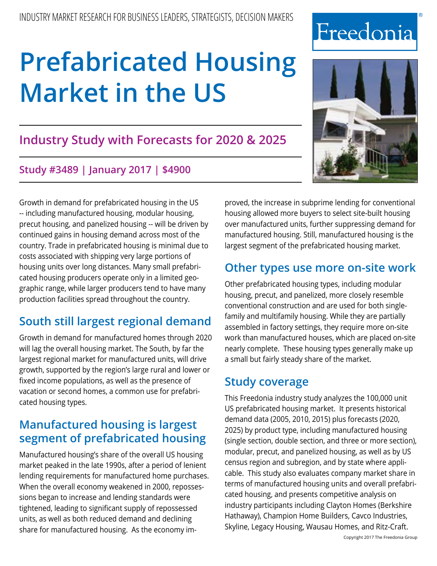# **Industry Study with Forecasts for 2020 & 2025**

# **Study #3489 | January 2017 | \$4900**

Growth in demand for prefabricated housing in the US -- including manufactured housing, modular housing, precut housing, and panelized housing -- will be driven by continued gains in housing demand across most of the country. Trade in prefabricated housing is minimal due to costs associated with shipping very large portions of housing units over long distances. Many small prefabricated housing producers operate only in a limited geographic range, while larger producers tend to have many production facilities spread throughout the country.

# **South still largest regional demand**

Growth in demand for manufactured homes through 2020 will lag the overall housing market. The South, by far the largest regional market for manufactured units, will drive growth, supported by the region's large rural and lower or fixed income populations, as well as the presence of vacation or second homes, a common use for prefabricated housing types.

# **Manufactured housing is largest segment of prefabricated housing**

Manufactured housing's share of the overall US housing market peaked in the late 1990s, after a period of lenient lending requirements for manufactured home purchases. When the overall economy weakened in 2000, repossessions began to increase and lending standards were tightened, leading to significant supply of repossessed units, as well as both reduced demand and declining share for manufactured housing. As the economy improved, the increase in subprime lending for conventional housing allowed more buyers to select site-built housing over manufactured units, further suppressing demand for manufactured housing. Still, manufactured housing is the largest segment of the prefabricated housing market.

# **Other types use more on-site work**

Other prefabricated housing types, including modular housing, precut, and panelized, more closely resemble conventional construction and are used for both singlefamily and multifamily housing. While they are partially assembled in factory settings, they require more on-site work than manufactured houses, which are placed on-site nearly complete. These housing types generally make up a small but fairly steady share of the market.

# **Study coverage**

This Freedonia industry study analyzes the 100,000 unit US prefabricated housing market. It presents historical demand data (2005, 2010, 2015) plus forecasts (2020, 2025) by product type, including manufactured housing (single section, double section, and three or more section), modular, precut, and panelized housing, as well as by US census region and subregion, and by state where applicable. This study also evaluates company market share in terms of manufactured housing units and overall prefabricated housing, and presents competitive analysis on industry participants including Clayton Homes (Berkshire Hathaway), Champion Home Builders, Cavco Industries, Skyline, Legacy Housing, Wausau Homes, and Ritz-Craft.





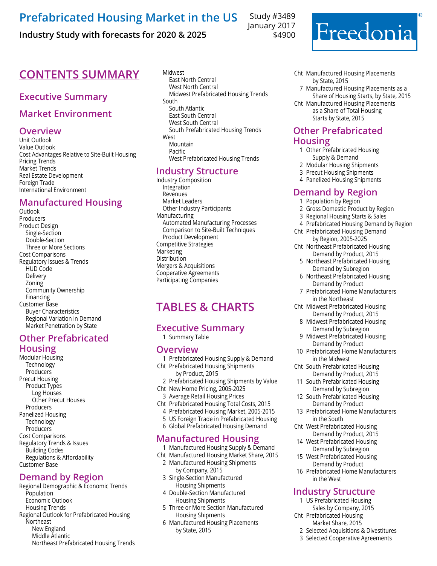### **Industry Study with forecasts for 2020 & 2025**

Study #3489 January 2017 \$4900



# **CONTENTS SUMMARY** Midwest

### **Executive Summary**

#### **Market Environment**

#### **Overview**

Unit Outlook Value Outlook Cost Advantages Relative to Site-Built Housing Pricing Trends Market Trends Real Estate Development Foreign Trade International Environment

#### **Manufactured Housing**

**Outlook** Producers Product Design Single-Section Double-Section Three or More Sections Cost Comparisons Regulatory Issues & Trends HUD Code Delivery Zoning Community Ownership Financing Customer Base Buyer Characteristics Regional Variation in Demand Market Penetration by State

#### **Other Prefabricated Housing**

Modular Housing Technology Producers Precut Housing Product Types Log Houses Other Precut Houses Producers Panelized Housing Technology Producers Cost Comparisons Regulatory Trends & Issues Building Codes Regulations & Affordability Customer Base

#### **Demand by Region**

Regional Demographic & Economic Trends Population Economic Outlook Housing Trends Regional Outlook for Prefabricated Housing **Northeast**  New England Middle Atlantic Northeast Prefabricated Housing Trends

 East North Central West North Central Midwest Prefabricated Housing Trends South South Atlantic East South Central West South Central South Prefabricated Housing Trends West Mountain Pacific West Prefabricated Housing Trends

#### **Industry Structure**

Industry Composition Integration Revenues Market Leaders Other Industry Participants Manufacturing Automated Manufacturing Processes Comparison to Site-Built Techniques Product Development Competitive Strategies Marketing **Distribution** Mergers & Acquisitions Cooperative Agreements Participating Companies

# **Tables & Charts**

#### **Executive Summary**

1 Summary Table

#### **Overview**

- 1 Prefabricated Housing Supply & Demand
- Cht Prefabricated Housing Shipments by Product, 2015
- 2 Prefabricated Housing Shipments by Value
- Cht New Home Pricing, 2005-2025
- 3 Average Retail Housing Prices
- Cht Prefabricated Housing Total Costs, 2015
	- 4 Prefabricated Housing Market, 2005-2015
	- 5 US Foreign Trade in Prefabricated Housing
	- 6 Global Prefabricated Housing Demand

#### **Manufactured Housing**

1 Manufactured Housing Supply & Demand

- Cht Manufactured Housing Market Share, 2015 2 Manufactured Housing Shipments
	- by Company, 2015
- 3 Single-Section Manufactured Housing Shipments
- 4 Double-Section Manufactured Housing Shipments
- 5 Three or More Section Manufactured Housing Shipments
- 6 Manufactured Housing Placements by State, 2015
- Cht Manufactured Housing Placements by State, 2015
- 7 Manufactured Housing Placements as a Share of Housing Starts, by State, 2015

Cht Manufactured Housing Placements as a Share of Total Housing Starts by State, 2015

#### **Other Prefabricated Housing**

- 1 Other Prefabricated Housing Supply & Demand
- 2 Modular Housing Shipments
- 3 Precut Housing Shipments
- 4 Panelized Housing Shipments

### **Demand by Region**

- 1 Population by Region
- 2 Gross Domestic Product by Region
- 3 Regional Housing Starts & Sales
- 4 Prefabricated Housing Demand by Region
- Cht Prefabricated Housing Demand by Region, 2005-2025
- Cht Northeast Prefabricated Housing Demand by Product, 2015
	- 5 Northeast Prefabricated Housing Demand by Subregion
	- 6 Northeast Prefabricated Housing Demand by Product
	- 7 Prefabricated Home Manufacturers in the Northeast
- Cht Midwest Prefabricated Housing Demand by Product, 2015
	- 8 Midwest Prefabricated Housing Demand by Subregion
	- 9 Midwest Prefabricated Housing Demand by Product
- 10 Prefabricated Home Manufacturers in the Midwest
- Cht South Prefabricated Housing Demand by Product, 2015
- 11 South Prefabricated Housing Demand by Subregion
- 12 South Prefabricated Housing Demand by Product
- 13 Prefabricated Home Manufacturers in the South
- Cht West Prefabricated Housing Demand by Product, 2015
- 14 West Prefabricated Housing Demand by Subregion
- 15 West Prefabricated Housing Demand by Product
- 16 Prefabricated Home Manufacturers in the West

#### **Industry Structure**

- 1 US Prefabricated Housing Sales by Company, 2015 Cht Prefabricated Housing
	- Market Share, 2015
	- 2 Selected Acquisitions & Divestitures
	- 3 Selected Cooperative Agreements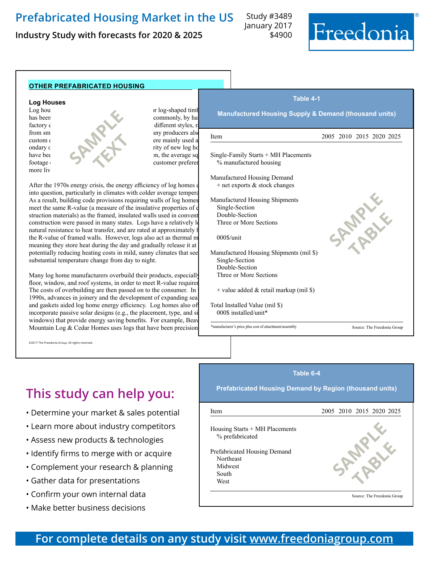**Industry Study with forecasts for 2020 & 2025**

Study #3489 January 2017 \$4900



#### **other prefabricated housing Log Houses** Log house precut kits include the building log-shaped time<br>commonly, by hat commonly, by hat has been commonly, by hand  $\frac{1}{2}$  commonly, by hand in a commonly, by hand in a commonly, by hand in a commonly, by hand in a commonly, by hand in a commonly, by hand in a commonly, by hand in a commonly, by hand in a different styles, r  $f$  from sm any producers also  $f$   $f$   $f$ custom designs. Historical log homes were mainly used as second that the second second second second second second second second second second second second second second second second second second second second second se ondary  $c$  rity of new log homes, but recently the majority of new log houses have been used as primary residences. In a primary residence in a primary residence in a primary residence in  $\mathbb{R}^n$ . footage of log housing has risen due to growing customer preference for  $\alpha$ more liv After the 1970s energy crisis, the energy efficiency of log homes of into question, particularly in climates with colder average temperatures.<br>As a result, building code provisions requiring walls of log homes Manufactured Housing Shipments As a result, building code provisions requiring walls of log homes meet the same R-value (a measure of the insulative properties of c struction materials) as the framed, insulated walls used in convent construction were passed in many states. Logs have a relatively low natural resistance to heat transfer, and are rated at approximately l the R-value of framed walls. However, logs also act as thermal m meaning they store heat during the day and gradually release it at potentially reducing heating costs in mild, sunny climates that see substantial temperature change from day to night. Many log home manufacturers overbuild their products, especially floor, window, and roof systems, in order to meet R-value requirem The costs of overbuilding are then passed on to the consumer. In 1990s, advances in joinery and the development of expanding sea and gaskets aided log home energy efficiency. Log homes also of incorporate passive solar designs (e.g., the placement, type, and si windows) that provide energy saving benefits. For example, Beav Mountain Log  $&$  Cedar Homes uses logs that have been precision **Table 4-1 Manufactured Housing Supply & Demand (thousand units)** Item 2005 2010 2015 2020 2025 Single-Family Starts + MH Placements % manufactured housing Manufactured Housing Demand  $+$  net exports  $&$  stock changes Manufactured Housing Shipments 147.0 50.0 50.0 71.0 50.0 71.0 85.0 90.0 71.0 85.0 90.0 71.0 85.0 90.0 71.0 85.0 90.0 71.0 85.0 90.0 71.0 85.0 71.0 85.0 71.0 85.0 71.0 85.0 90.0 71.0 71.0 85.0 71.0 71.0 71.0 71.0 71.0 71.0 Single-Section 50.6 20.4 32.4 32.4 32.9 Double-Section 91.4 28.6 37.7 51.6 55.9 Three or More Sections 5.0 1.0 0.9 1.0 1.2 000\$/unit 39.8 42.8 48.6 56.5 62.8 Manufactured Housing Shipments (mil \$) Single-Section 1190 570 1050 1180 1320 Double-Section Three or More Sections  $+$  value added & retail markup (mil \$) Total Installed Value (mil \$) 000\$ installed/unit\* Source: The Freedonia Group ©2017 The Freedonia Group. All rights reserved. **SAMPLE TEXT SAMPLE table** \*manufacturer's price plus cost of attachment/assembly

# **This study can help you:**

- Determine your market & sales potential
- Learn more about industry competitors
- Assess new products & technologies
- Identify firms to merge with or acquire
- Complement your research & planning
- Gather data for presentations
- Confirm your own internal data
- Make better business decisions

#### **Table 6-4 Prefabricated Housing Demand by Region (thousand units)** Item 2005 2010 2015 2020 2025 Housing Starts + MH Placements  $\%$  prefabricated % prefabricated 9.2 12.2 8.3 7.8 8.2 Prefabricated Housing Demand<br>Northeast Northeast 31.6 10.1 15.6 13.1 13.0 Midwest 37.7 11.6 17.7 11.6 17.7 11.6 17.7 11.6 17.7 11.6 17.7 11.6 17.7 11.6 17.7 11.6 17.1 11.6 17.1 11.6 17 South 99.0 47.7 53.8 75.3 83.9 West 33.4 8.4 11.5 13.8 15.6 **SAMPLE table**

Source: The Freedonia Group

# **For complete details on any study visit [www.freedoniagroup.com](http://www.freedoniagroup.com/)**